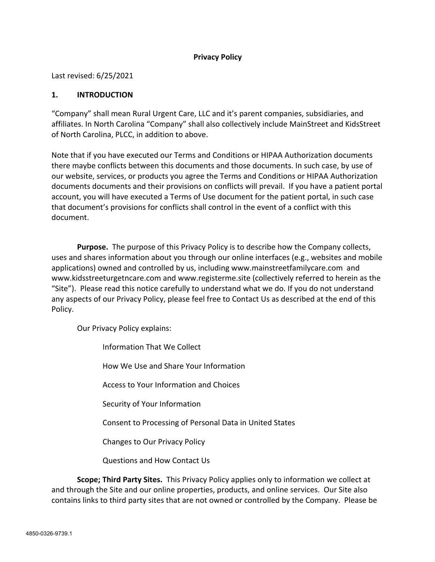## **Privacy Policy**

Last revised: 6/25/2021

#### **1. INTRODUCTION**

"Company" shall mean Rural Urgent Care, LLC and it's parent companies, subsidiaries, and affiliates. In North Carolina "Company" shall also collectively include MainStreet and KidsStreet of North Carolina, PLCC, in addition to above.

Note that if you have executed our Terms and Conditions or HIPAA Authorization documents there maybe conflicts between this documents and those documents. In such case, by use of our website, services, or products you agree the Terms and Conditions or HIPAA Authorization documents documents and their provisions on conflicts will prevail. If you have a patient portal account, you will have executed a Terms of Use document for the patient portal, in such case that document's provisions for conflicts shall control in the event of a conflict with this document.

**Purpose.** The purpose of this Privacy Policy is to describe how the Company collects, uses and shares information about you through our online interfaces (e.g., websites and mobile applications) owned and controlled by us, including www.mainstreetfamilycare.com and www.kidsstreeturgetncare.com and www.registerme.site (collectively referred to herein as the "Site"). Please read this notice carefully to understand what we do. If you do not understand any aspects of our Privacy Policy, please feel free to Contact Us as described at the end of this Policy.

Our Privacy Policy explains:

Information That We Collect

How We Use and Share Your Information

Access to Your Information and Choices

Security of Your Information

Consent to Processing of Personal Data in United States

Changes to Our Privacy Policy

Questions and How Contact Us

**Scope; Third Party Sites.** This Privacy Policy applies only to information we collect at and through the Site and our online properties, products, and online services. Our Site also contains links to third party sites that are not owned or controlled by the Company. Please be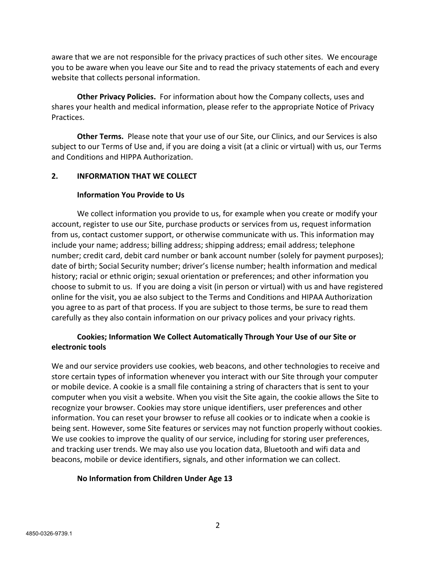aware that we are not responsible for the privacy practices of such other sites. We encourage you to be aware when you leave our Site and to read the privacy statements of each and every website that collects personal information.

**Other Privacy Policies.** For information about how the Company collects, uses and shares your health and medical information, please refer to the appropriate Notice of Privacy Practices.

**Other Terms.** Please note that your use of our Site, our Clinics, and our Services is also subject to our Terms of Use and, if you are doing a visit (at a clinic or virtual) with us, our Terms and Conditions and HIPPA Authorization.

# **2. INFORMATION THAT WE COLLECT**

## **Information You Provide to Us**

We collect information you provide to us, for example when you create or modify your account, register to use our Site, purchase products or services from us, request information from us, contact customer support, or otherwise communicate with us. This information may include your name; address; billing address; shipping address; email address; telephone number; credit card, debit card number or bank account number (solely for payment purposes); date of birth; Social Security number; driver's license number; health information and medical history; racial or ethnic origin; sexual orientation or preferences; and other information you choose to submit to us. If you are doing a visit (in person or virtual) with us and have registered online for the visit, you ae also subject to the Terms and Conditions and HIPAA Authorization you agree to as part of that process. If you are subject to those terms, be sure to read them carefully as they also contain information on our privacy polices and your privacy rights.

# **Cookies; Information We Collect Automatically Through Your Use of our Site or electronic tools**

We and our service providers use cookies, web beacons, and other technologies to receive and store certain types of information whenever you interact with our Site through your computer or mobile device. A cookie is a small file containing a string of characters that is sent to your computer when you visit a website. When you visit the Site again, the cookie allows the Site to recognize your browser. Cookies may store unique identifiers, user preferences and other information. You can reset your browser to refuse all cookies or to indicate when a cookie is being sent. However, some Site features or services may not function properly without cookies. We use cookies to improve the quality of our service, including for storing user preferences, and tracking user trends. We may also use you location data, Bluetooth and wifi data and beacons, mobile or device identifiers, signals, and other information we can collect.

# **No Information from Children Under Age 13**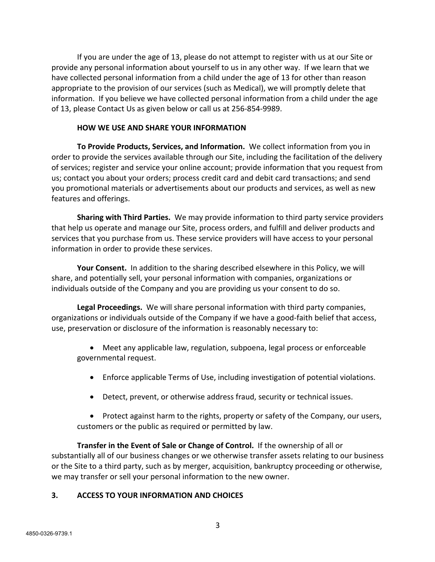If you are under the age of 13, please do not attempt to register with us at our Site or provide any personal information about yourself to us in any other way. If we learn that we have collected personal information from a child under the age of 13 for other than reason appropriate to the provision of our services (such as Medical), we will promptly delete that information. If you believe we have collected personal information from a child under the age of 13, please Contact Us as given below or call us at 256-854-9989.

#### **HOW WE USE AND SHARE YOUR INFORMATION**

**To Provide Products, Services, and Information.** We collect information from you in order to provide the services available through our Site, including the facilitation of the delivery of services; register and service your online account; provide information that you request from us; contact you about your orders; process credit card and debit card transactions; and send you promotional materials or advertisements about our products and services, as well as new features and offerings.

**Sharing with Third Parties.** We may provide information to third party service providers that help us operate and manage our Site, process orders, and fulfill and deliver products and services that you purchase from us. These service providers will have access to your personal information in order to provide these services.

**Your Consent.** In addition to the sharing described elsewhere in this Policy, we will share, and potentially sell, your personal information with companies, organizations or individuals outside of the Company and you are providing us your consent to do so.

**Legal Proceedings.** We will share personal information with third party companies, organizations or individuals outside of the Company if we have a good-faith belief that access, use, preservation or disclosure of the information is reasonably necessary to:

• Meet any applicable law, regulation, subpoena, legal process or enforceable governmental request.

- Enforce applicable Terms of Use, including investigation of potential violations.
- Detect, prevent, or otherwise address fraud, security or technical issues.

• Protect against harm to the rights, property or safety of the Company, our users, customers or the public as required or permitted by law.

**Transfer in the Event of Sale or Change of Control.** If the ownership of all or substantially all of our business changes or we otherwise transfer assets relating to our business or the Site to a third party, such as by merger, acquisition, bankruptcy proceeding or otherwise, we may transfer or sell your personal information to the new owner.

### **3. ACCESS TO YOUR INFORMATION AND CHOICES**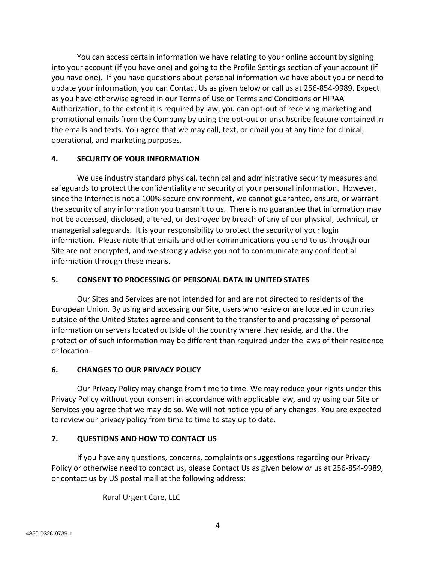You can access certain information we have relating to your online account by signing into your account (if you have one) and going to the Profile Settings section of your account (if you have one). If you have questions about personal information we have about you or need to update your information, you can Contact Us as given below or call us at 256-854-9989. Expect as you have otherwise agreed in our Terms of Use or Terms and Conditions or HIPAA Authorization, to the extent it is required by law, you can opt-out of receiving marketing and promotional emails from the Company by using the opt-out or unsubscribe feature contained in the emails and texts. You agree that we may call, text, or email you at any time for clinical, operational, and marketing purposes.

## **4. SECURITY OF YOUR INFORMATION**

We use industry standard physical, technical and administrative security measures and safeguards to protect the confidentiality and security of your personal information. However, since the Internet is not a 100% secure environment, we cannot guarantee, ensure, or warrant the security of any information you transmit to us. There is no guarantee that information may not be accessed, disclosed, altered, or destroyed by breach of any of our physical, technical, or managerial safeguards. It is your responsibility to protect the security of your login information. Please note that emails and other communications you send to us through our Site are not encrypted, and we strongly advise you not to communicate any confidential information through these means.

## **5. CONSENT TO PROCESSING OF PERSONAL DATA IN UNITED STATES**

Our Sites and Services are not intended for and are not directed to residents of the European Union. By using and accessing our Site, users who reside or are located in countries outside of the United States agree and consent to the transfer to and processing of personal information on servers located outside of the country where they reside, and that the protection of such information may be different than required under the laws of their residence or location.

### **6. CHANGES TO OUR PRIVACY POLICY**

Our Privacy Policy may change from time to time. We may reduce your rights under this Privacy Policy without your consent in accordance with applicable law, and by using our Site or Services you agree that we may do so. We will not notice you of any changes. You are expected to review our privacy policy from time to time to stay up to date.

# **7. QUESTIONS AND HOW TO CONTACT US**

If you have any questions, concerns, complaints or suggestions regarding our Privacy Policy or otherwise need to contact us, please Contact Us as given below *or* us at 256-854-9989, or contact us by US postal mail at the following address:

Rural Urgent Care, LLC